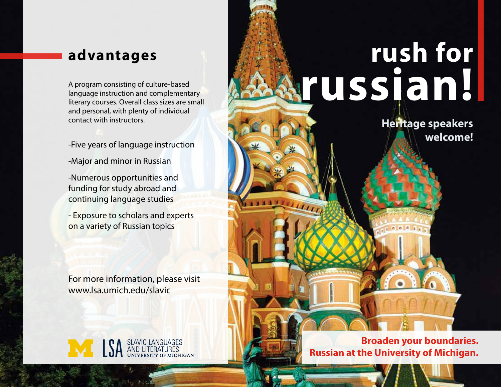language instruction and complementary literary courses. Overall class sizes are small and personal, with plenty of individual contact with instructors.

- -Five years of language instruction
- -Major and minor in Russian

-Numerous opportunities and funding for study abroad and continuing language studies

- Exposure to scholars and experts on a variety of Russian topics

For more information, please visit www.lsa.umich.edu/slavic

**EXAMPLE STANIC LANGUAGES** 

## **advantages rush for**  A program consisting of culture-based<br>
language instruction and complementary<br>
literary courses Overall class sizes are small

**Heritage speakers welcome!**

**Broaden your boundaries. Russian at the University of Michigan.**